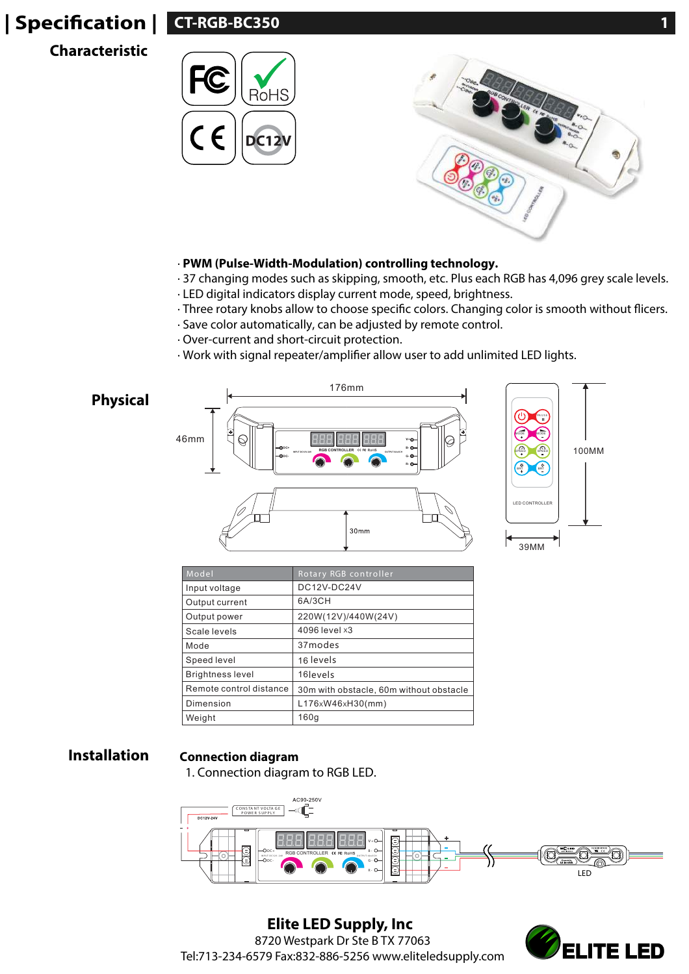# **| Specification | |**

## **Characteristic**





### · **PWM (Pulse-Width-Modulation) controlling technology.**

- · 37 changing modes such as skipping, smooth, etc. Plus each RGB has 4,096 grey scale levels. · LED digital indicators display current mode, speed, brightness.
- · Three rotary knobs allow to choose specific colors. Changing color is smooth without flicers.
- · Save color automatically, can be adjusted by remote control.
- · Over-current and short-circuit protection.
- · Work with signal repeater/amplifier allow user to add unlimited LED lights.



| Model                   | Rotary RGB controller                   |
|-------------------------|-----------------------------------------|
| Input voltage           | DC12V-DC24V                             |
| Output current          | 6A/3CH                                  |
| Output power            | 220W(12V)/440W(24V)                     |
| Scale levels            | 4096 level x3                           |
| Mode                    | 37modes                                 |
| Speed level             | 16 levels                               |
| <b>Brightness level</b> | 16 levels                               |
| Remote control distance | 30m with obstacle, 60m without obstacle |
| Dimension               | L176xW46xH30(mm)                        |
| Weight                  | 160q                                    |

## **Installation Connection diagram**

1. Connection diagram to RGB LED.



**Elite LED Supply, Inc** 8720 Westpark Dr Ste B TX 77063 Tel:713-234-6579 Fax:832-886-5256 www.eliteledsupply.com

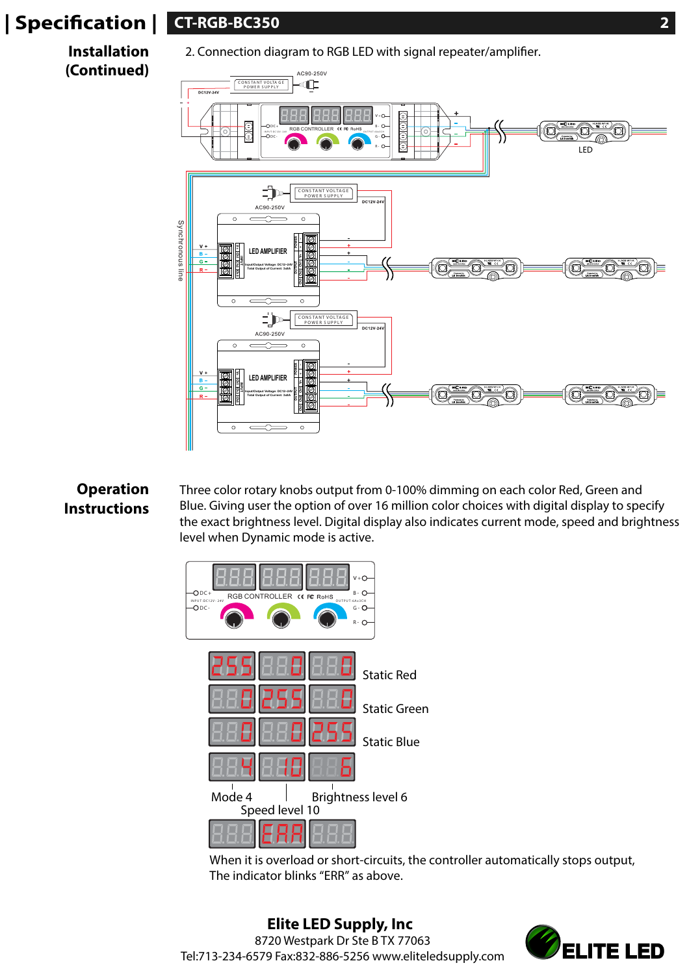# **| Specication | CT-RGB-BC350 2**

**Installation (Continued)**

2. Connection diagram to RGB LED with signal repeater/amplifier.



## **Operation Instructions**

Three color rotary knobs output from 0-100% dimming on each color Red, Green and Blue. Giving user the option of over 16 million color choices with digital display to specify the exact brightness level. Digital display also indicates current mode, speed and brightness level when Dynamic mode is active.



When it is overload or short-circuits, the controller automatically stops output, The indicator blinks "ERR" as above.

**Elite LED Supply, Inc** 8720 Westpark Dr Ste B TX 77063 Tel:713-234-6579 Fax:832-886-5256 www.eliteledsupply.com